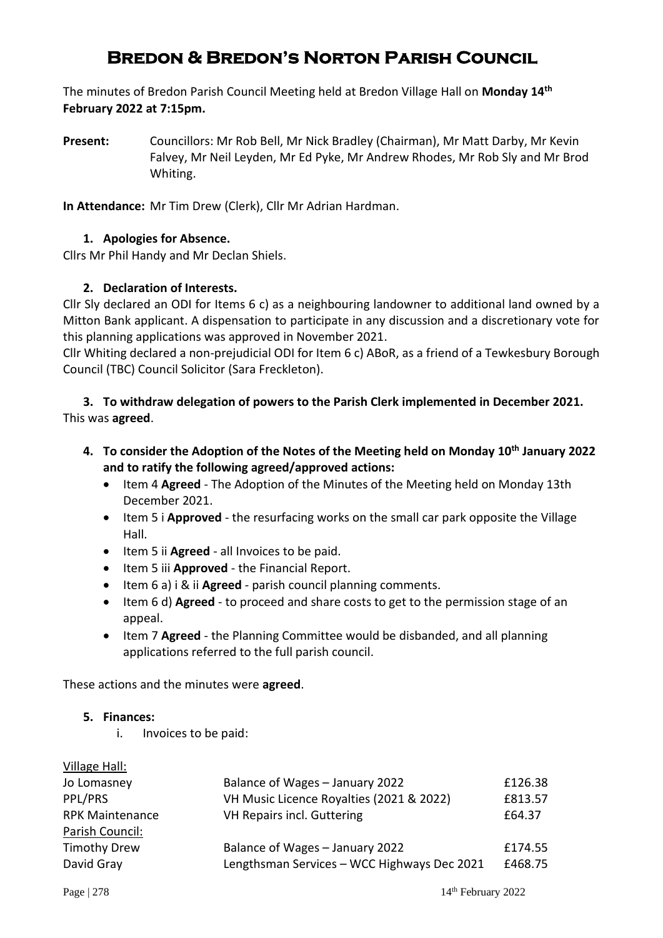# **Bredon & Bredon's Norton Parish Council**

The minutes of Bredon Parish Council Meeting held at Bredon Village Hall on **Monday 14 th February 2022 at 7:15pm.**

**Present:** Councillors: Mr Rob Bell, Mr Nick Bradley (Chairman), Mr Matt Darby, Mr Kevin Falvey, Mr Neil Leyden, Mr Ed Pyke, Mr Andrew Rhodes, Mr Rob Sly and Mr Brod Whiting.

**In Attendance:** Mr Tim Drew (Clerk), Cllr Mr Adrian Hardman.

## **1. Apologies for Absence.**

Cllrs Mr Phil Handy and Mr Declan Shiels.

#### **2. Declaration of Interests.**

Cllr Sly declared an ODI for Items 6 c) as a neighbouring landowner to additional land owned by a Mitton Bank applicant. A dispensation to participate in any discussion and a discretionary vote for this planning applications was approved in November 2021.

Cllr Whiting declared a non-prejudicial ODI for Item 6 c) ABoR, as a friend of a Tewkesbury Borough Council (TBC) Council Solicitor (Sara Freckleton).

**3. To withdraw delegation of powers to the Parish Clerk implemented in December 2021.** This was **agreed**.

- **4. To consider the Adoption of the Notes of the Meeting held on Monday 10th January 2022 and to ratify the following agreed/approved actions:**
	- Item 4 **Agreed**  The Adoption of the Minutes of the Meeting held on Monday 13th December 2021.
	- Item 5 i **Approved**  the resurfacing works on the small car park opposite the Village Hall.
	- Item 5 ii **Agreed**  all Invoices to be paid.
	- Item 5 iii **Approved**  the Financial Report.
	- Item 6 a) i & ii **Agreed**  parish council planning comments.
	- Item 6 d) **Agreed**  to proceed and share costs to get to the permission stage of an appeal.
	- Item 7 **Agreed**  the Planning Committee would be disbanded, and all planning applications referred to the full parish council.

These actions and the minutes were **agreed**.

#### **5. Finances:**

i. Invoices to be paid:

| Village Hall:          |                                             |         |
|------------------------|---------------------------------------------|---------|
| Jo Lomasney            | Balance of Wages - January 2022             | £126.38 |
| PPL/PRS                | VH Music Licence Royalties (2021 & 2022)    | £813.57 |
| <b>RPK Maintenance</b> | VH Repairs incl. Guttering                  | £64.37  |
| Parish Council:        |                                             |         |
| <b>Timothy Drew</b>    | Balance of Wages - January 2022             | £174.55 |
| David Gray             | Lengthsman Services - WCC Highways Dec 2021 | £468.75 |
|                        |                                             |         |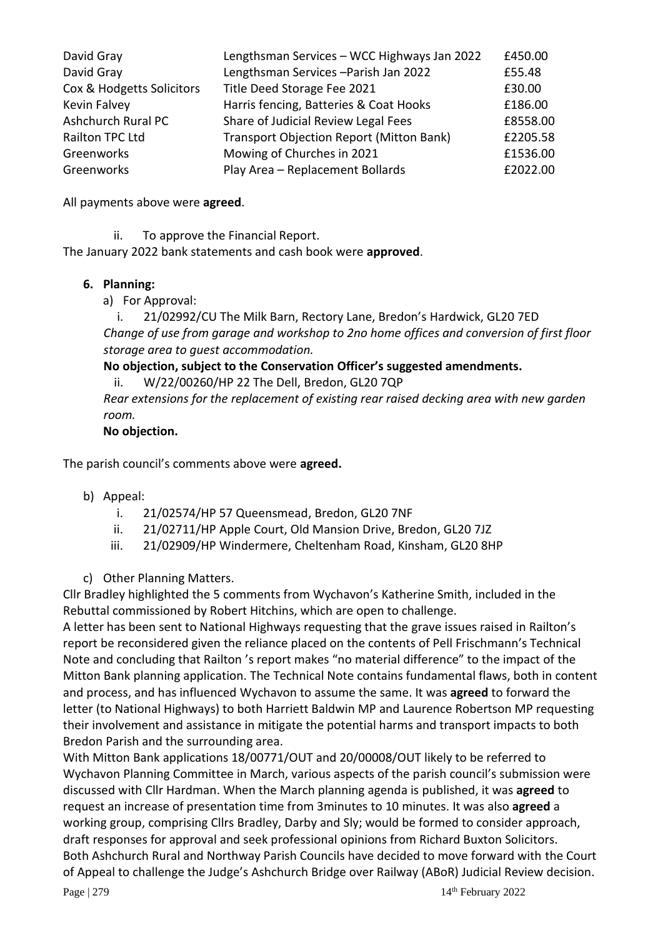| David Gray                | Lengthsman Services - WCC Highways Jan 2022 | £450.00  |
|---------------------------|---------------------------------------------|----------|
| David Gray                | Lengthsman Services - Parish Jan 2022       | £55.48   |
| Cox & Hodgetts Solicitors | Title Deed Storage Fee 2021                 | £30.00   |
| Kevin Falvey              | Harris fencing, Batteries & Coat Hooks      | £186.00  |
| Ashchurch Rural PC        | Share of Judicial Review Legal Fees         | £8558.00 |
| Railton TPC Ltd           | Transport Objection Report (Mitton Bank)    | £2205.58 |
| Greenworks                | Mowing of Churches in 2021                  | £1536.00 |
| Greenworks                | Play Area - Replacement Bollards            | £2022.00 |

All payments above were **agreed**.

ii. To approve the Financial Report.

The January 2022 bank statements and cash book were **approved**.

#### **6. Planning:**

a) For Approval:

i. 21/02992/CU The Milk Barn, Rectory Lane, Bredon's Hardwick, GL20 7ED *Change of use from garage and workshop to 2no home offices and conversion of first floor storage area to guest accommodation.*

# **No objection, subject to the Conservation Officer's suggested amendments.**

ii. W/22/00260/HP 22 The Dell, Bredon, GL20 7QP *Rear extensions for the replacement of existing rear raised decking area with new garden room.*

#### **No objection.**

The parish council's comments above were **agreed.**

- b) Appeal:
	- i. 21/02574/HP 57 Queensmead, Bredon, GL20 7NF
	- ii. 21/02711/HP Apple Court, Old Mansion Drive, Bredon, GL20 7JZ
	- iii. 21/02909/HP Windermere, Cheltenham Road, Kinsham, GL20 8HP
- c) Other Planning Matters.

Cllr Bradley highlighted the 5 comments from Wychavon's Katherine Smith, included in the Rebuttal commissioned by Robert Hitchins, which are open to challenge.

A letter has been sent to National Highways requesting that the grave issues raised in Railton's report be reconsidered given the reliance placed on the contents of Pell Frischmann's Technical Note and concluding that Railton 's report makes "no material difference" to the impact of the Mitton Bank planning application. The Technical Note contains fundamental flaws, both in content and process, and has influenced Wychavon to assume the same. It was **agreed** to forward the letter (to National Highways) to both Harriett Baldwin MP and Laurence Robertson MP requesting their involvement and assistance in mitigate the potential harms and transport impacts to both Bredon Parish and the surrounding area.

With Mitton Bank applications 18/00771/OUT and 20/00008/OUT likely to be referred to Wychavon Planning Committee in March, various aspects of the parish council's submission were discussed with Cllr Hardman. When the March planning agenda is published, it was **agreed** to request an increase of presentation time from 3minutes to 10 minutes. It was also **agreed** a working group, comprising Cllrs Bradley, Darby and Sly; would be formed to consider approach, draft responses for approval and seek professional opinions from Richard Buxton Solicitors. Both Ashchurch Rural and Northway Parish Councils have decided to move forward with the Court of Appeal to challenge the Judge's Ashchurch Bridge over Railway (ABoR) Judicial Review decision.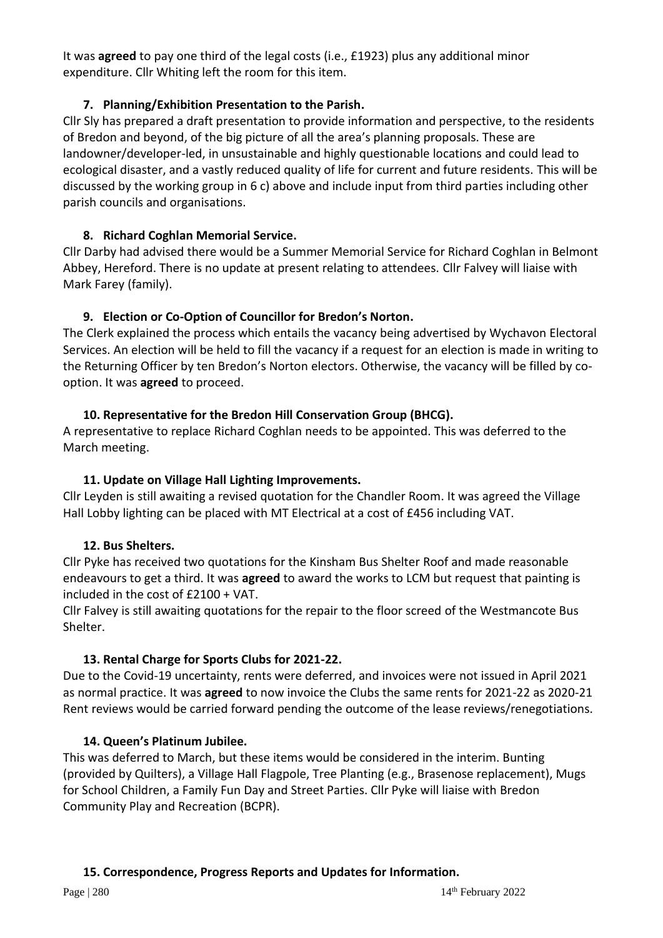It was **agreed** to pay one third of the legal costs (i.e., £1923) plus any additional minor expenditure. Cllr Whiting left the room for this item.

# **7. Planning/Exhibition Presentation to the Parish.**

Cllr Sly has prepared a draft presentation to provide information and perspective, to the residents of Bredon and beyond, of the big picture of all the area's planning proposals. These are landowner/developer-led, in unsustainable and highly questionable locations and could lead to ecological disaster, and a vastly reduced quality of life for current and future residents. This will be discussed by the working group in 6 c) above and include input from third parties including other parish councils and organisations.

# **8. Richard Coghlan Memorial Service.**

Cllr Darby had advised there would be a Summer Memorial Service for Richard Coghlan in Belmont Abbey, Hereford. There is no update at present relating to attendees. Cllr Falvey will liaise with Mark Farey (family).

# **9. Election or Co-Option of Councillor for Bredon's Norton.**

The Clerk explained the process which entails the vacancy being advertised by Wychavon Electoral Services. An election will be held to fill the vacancy if a request for an election is made in writing to the Returning Officer by ten Bredon's Norton electors. Otherwise, the vacancy will be filled by cooption. It was **agreed** to proceed.

# **10. Representative for the Bredon Hill Conservation Group (BHCG).**

A representative to replace Richard Coghlan needs to be appointed. This was deferred to the March meeting.

## **11. Update on Village Hall Lighting Improvements.**

Cllr Leyden is still awaiting a revised quotation for the Chandler Room. It was agreed the Village Hall Lobby lighting can be placed with MT Electrical at a cost of £456 including VAT.

# **12. Bus Shelters.**

Cllr Pyke has received two quotations for the Kinsham Bus Shelter Roof and made reasonable endeavours to get a third. It was **agreed** to award the works to LCM but request that painting is included in the cost of £2100 + VAT.

Cllr Falvey is still awaiting quotations for the repair to the floor screed of the Westmancote Bus Shelter.

# **13. Rental Charge for Sports Clubs for 2021-22.**

Due to the Covid-19 uncertainty, rents were deferred, and invoices were not issued in April 2021 as normal practice. It was **agreed** to now invoice the Clubs the same rents for 2021-22 as 2020-21 Rent reviews would be carried forward pending the outcome of the lease reviews/renegotiations.

## **14. Queen's Platinum Jubilee.**

This was deferred to March, but these items would be considered in the interim. Bunting (provided by Quilters), a Village Hall Flagpole, Tree Planting (e.g., Brasenose replacement), Mugs for School Children, a Family Fun Day and Street Parties. Cllr Pyke will liaise with Bredon Community Play and Recreation (BCPR).

## **15. Correspondence, Progress Reports and Updates for Information.**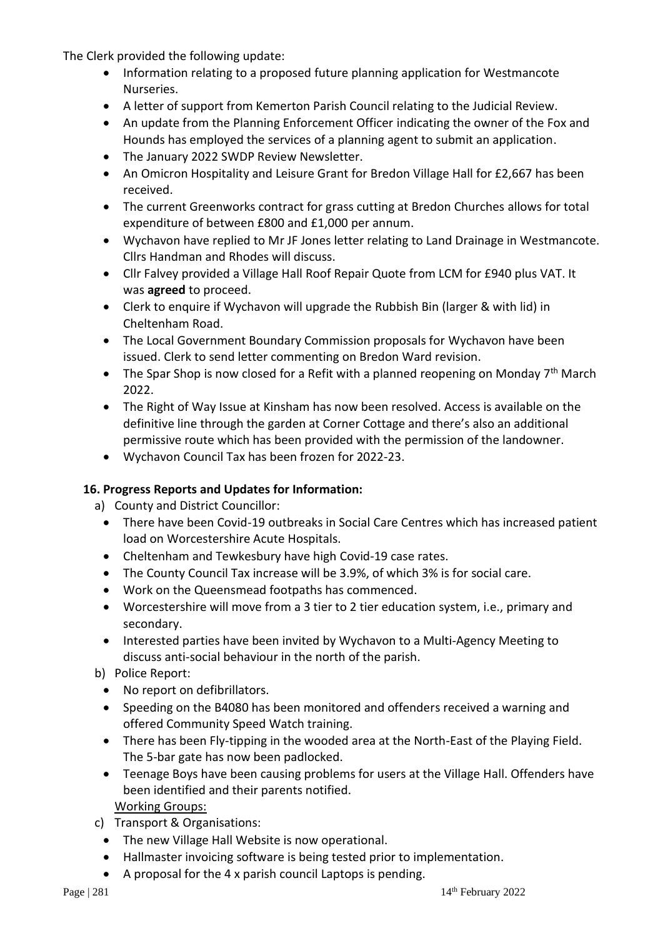The Clerk provided the following update:

- Information relating to a proposed future planning application for Westmancote Nurseries.
- A letter of support from Kemerton Parish Council relating to the Judicial Review.
- An update from the Planning Enforcement Officer indicating the owner of the Fox and Hounds has employed the services of a planning agent to submit an application.
- The January 2022 SWDP Review Newsletter.
- An Omicron Hospitality and Leisure Grant for Bredon Village Hall for £2,667 has been received.
- The current Greenworks contract for grass cutting at Bredon Churches allows for total expenditure of between £800 and £1,000 per annum.
- Wychavon have replied to Mr JF Jones letter relating to Land Drainage in Westmancote. Cllrs Handman and Rhodes will discuss.
- Cllr Falvey provided a Village Hall Roof Repair Quote from LCM for £940 plus VAT. It was **agreed** to proceed.
- Clerk to enquire if Wychavon will upgrade the Rubbish Bin (larger & with lid) in Cheltenham Road.
- The Local Government Boundary Commission proposals for Wychavon have been issued. Clerk to send letter commenting on Bredon Ward revision.
- The Spar Shop is now closed for a Refit with a planned reopening on Monday  $7<sup>th</sup>$  March 2022.
- The Right of Way Issue at Kinsham has now been resolved. Access is available on the definitive line through the garden at Corner Cottage and there's also an additional permissive route which has been provided with the permission of the landowner.
- Wychavon Council Tax has been frozen for 2022-23.

## **16. Progress Reports and Updates for Information:**

a) County and District Councillor:

- There have been Covid-19 outbreaks in Social Care Centres which has increased patient load on Worcestershire Acute Hospitals.
- Cheltenham and Tewkesbury have high Covid-19 case rates.
- The County Council Tax increase will be 3.9%, of which 3% is for social care.
- Work on the Queensmead footpaths has commenced.
- Worcestershire will move from a 3 tier to 2 tier education system, i.e., primary and secondary.
- Interested parties have been invited by Wychavon to a Multi-Agency Meeting to discuss anti-social behaviour in the north of the parish.
- b) Police Report:
	- No report on defibrillators.
	- Speeding on the B4080 has been monitored and offenders received a warning and offered Community Speed Watch training.
	- There has been Fly-tipping in the wooded area at the North-East of the Playing Field. The 5-bar gate has now been padlocked.
	- Teenage Boys have been causing problems for users at the Village Hall. Offenders have been identified and their parents notified.

Working Groups:

- c) Transport & Organisations:
	- The new Village Hall Website is now operational.
	- Hallmaster invoicing software is being tested prior to implementation.
	- A proposal for the 4 x parish council Laptops is pending.